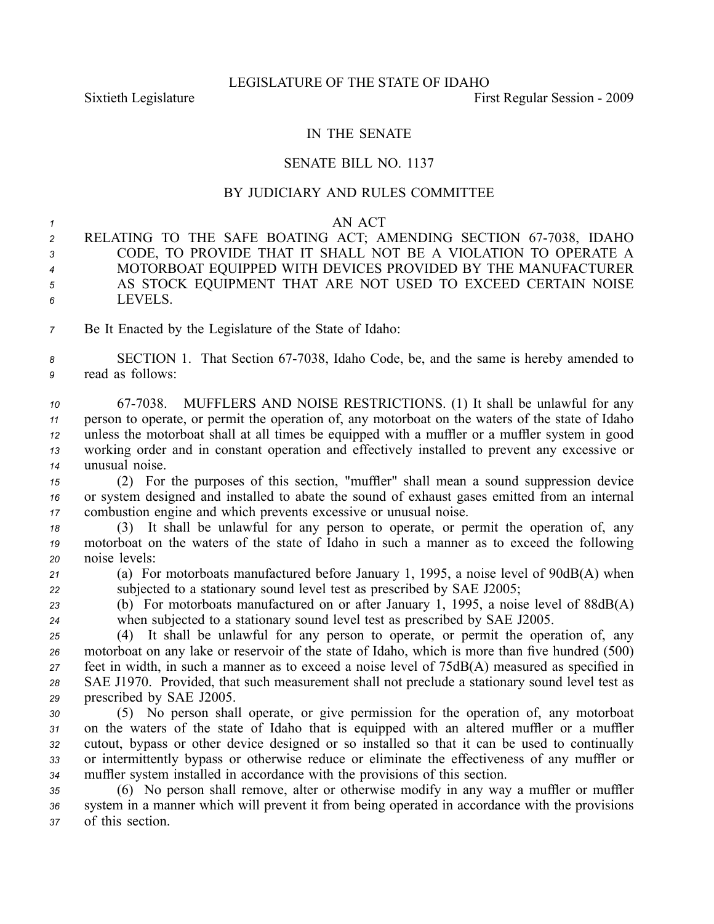## IN THE SENATE

## SENATE BILL NO. 1137

## BY JUDICIARY AND RULES COMMITTEE

## *1* AN ACT

- 2 RELATING TO THE SAFE BOATING ACT; AMENDING SECTION 67-7038, IDAHO *<sup>3</sup>* CODE, TO PROVIDE THAT IT SHALL NOT BE A VIOLATION TO OPERATE A *<sup>4</sup>* MOTORBOAT EQUIPPED WITH DEVICES PROVIDED BY THE MANUFACTURER *<sup>5</sup>* AS STOCK EQUIPMENT THAT ARE NOT USED TO EXCEED CERTAIN NOISE *6* LEVELS.
- *<sup>7</sup>* Be It Enacted by the Legislature of the State of Idaho:

8 **SECTION 1.** That Section 67-7038, Idaho Code, be, and the same is hereby amended to *<sup>9</sup>* read as follows:

 677038. MUFFLERS AND NOISE RESTRICTIONS. (1) It shall be unlawful for any person to operate, or permit the operation of, any motorboat on the waters of the state of Idaho unless the motorboat shall at all times be equipped with <sup>a</sup> muffler or <sup>a</sup> muffler system in good working order and in constant operation and effectively installed to preven<sup>t</sup> any excessive or unusual noise.

*<sup>15</sup>* (2) For the purposes of this section, "muffler" shall mean <sup>a</sup> sound suppression device *<sup>16</sup>* or system designed and installed to abate the sound of exhaust gases emitted from an internal *<sup>17</sup>* combustion engine and which prevents excessive or unusual noise.

*<sup>18</sup>* (3) It shall be unlawful for any person to operate, or permit the operation of, any *<sup>19</sup>* motorboat on the waters of the state of Idaho in such <sup>a</sup> manner as to exceed the following *<sup>20</sup>* noise levels:

*<sup>21</sup>* (a) For motorboats manufactured before January 1, 1995, <sup>a</sup> noise level of 90dB(A) when *<sup>22</sup>* subjected to <sup>a</sup> stationary sound level test as prescribed by SAE J2005;

*<sup>23</sup>* (b) For motorboats manufactured on or after January 1, 1995, <sup>a</sup> noise level of 88dB(A) *<sup>24</sup>* when subjected to <sup>a</sup> stationary sound level test as prescribed by SAE J2005.

 (4) It shall be unlawful for any person to operate, or permit the operation of, any motorboat on any lake or reservoir of the state of Idaho, which is more than five hundred (500) feet in width, in such <sup>a</sup> manner as to exceed <sup>a</sup> noise level of 75dB(A) measured as specified in SAE J1970. Provided, that such measurement shall not preclude <sup>a</sup> stationary sound level test as prescribed by SAE J2005.

 (5) No person shall operate, or give permission for the operation of, any motorboat on the waters of the state of Idaho that is equipped with an altered muffler or <sup>a</sup> muffler cutout, bypass or other device designed or so installed so that it can be used to continually or intermittently bypass or otherwise reduce or eliminate the effectiveness of any muffler or muffler system installed in accordance with the provisions of this section.

*<sup>35</sup>* (6) No person shall remove, alter or otherwise modify in any way <sup>a</sup> muffler or muffler *<sup>36</sup>* system in <sup>a</sup> manner which will preven<sup>t</sup> it from being operated in accordance with the provisions *<sup>37</sup>* of this section.